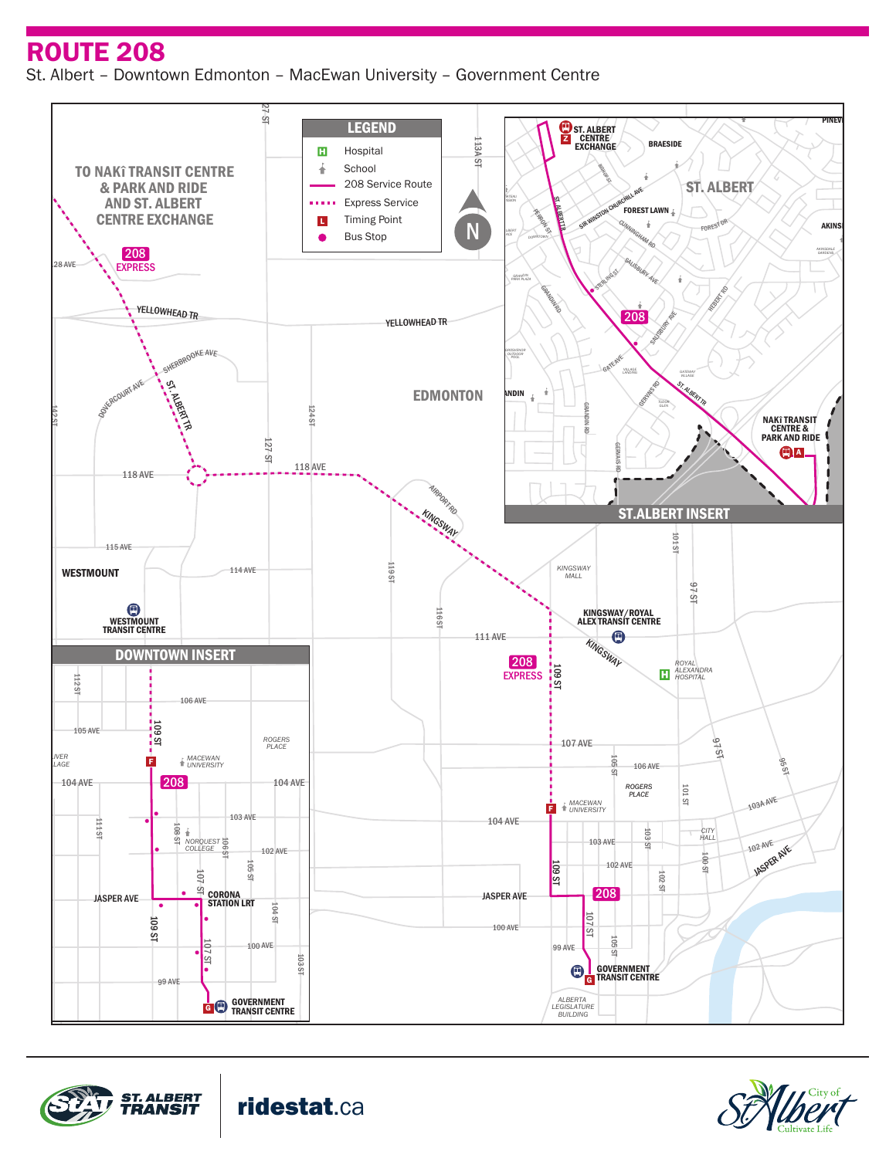ROUTE 208

St. Albert – Downtown Edmonton – MacEwan University – Government Centre





ridestat.ca



WOODLANDS KINGSWOOD